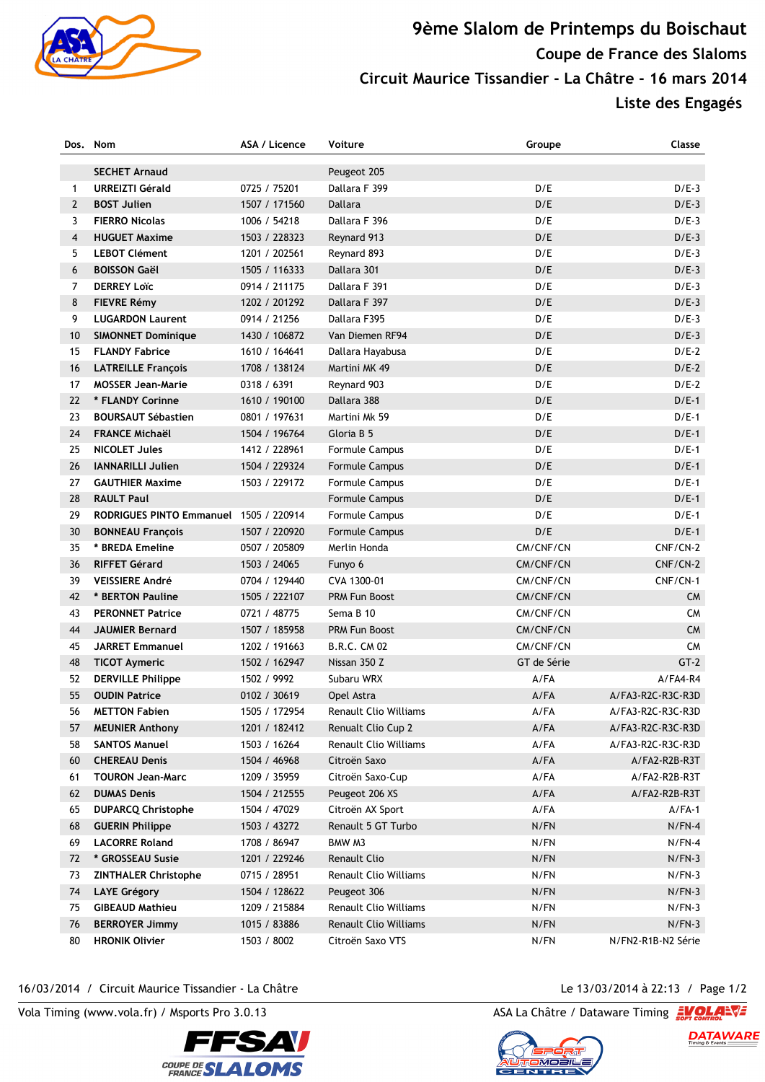

## **9ème Slalom de Printemps du Boischaut Coupe de France des Slaloms Circuit Maurice Tissandier - La Châtre - 16 mars 2014**

**Liste des Engagés** 

| Dos.           | <b>Nom</b>                                    | ASA / Licence                 | Voiture                      | Groupe       | Classe               |
|----------------|-----------------------------------------------|-------------------------------|------------------------------|--------------|----------------------|
|                | <b>SECHET Arnaud</b>                          |                               | Peugeot 205                  |              |                      |
| 1              | <b>URREIZTI Gérald</b>                        | 0725 / 75201                  | Dallara F 399                | D/E          | $D/E-3$              |
| $\overline{2}$ | <b>BOST Julien</b>                            | 1507 / 171560                 | Dallara                      | D/E          | $D/E-3$              |
| 3              | <b>FIERRO Nicolas</b>                         | 1006 / 54218                  | Dallara F 396                | D/E          | $D/E-3$              |
| 4              | <b>HUGUET Maxime</b>                          | 1503 / 228323                 | Reynard 913                  | D/E          | $D/E-3$              |
| 5              | <b>LEBOT Clément</b>                          | 1201 / 202561                 | Reynard 893                  | D/E          | $D/E-3$              |
| 6              | <b>BOISSON Gaël</b>                           | 1505 / 116333                 | Dallara 301                  | D/E          | $D/E-3$              |
| $\overline{7}$ | <b>DERREY Loïc</b>                            | 0914 / 211175                 | Dallara F 391                | D/E          | $D/E-3$              |
| 8              | <b>FIEVRE Rémy</b>                            | 1202 / 201292                 | Dallara F 397                | D/E          | $D/E-3$              |
| 9              | <b>LUGARDON Laurent</b>                       | 0914 / 21256                  | Dallara F395                 | D/E          | $D/E-3$              |
| 10             | <b>SIMONNET Dominique</b>                     | 1430 / 106872                 | Van Diemen RF94              | D/E          | $D/E-3$              |
| 15             | <b>FLANDY Fabrice</b>                         | 1610 / 164641                 | Dallara Hayabusa             | D/E          | $D/E-2$              |
| 16             | <b>LATREILLE François</b>                     | 1708 / 138124                 | Martini MK 49                | D/E          | $D/E-2$              |
| 17             | <b>MOSSER Jean-Marie</b>                      | 0318 / 6391                   | Reynard 903                  | D/E          | $D/E-2$              |
| 22             | * FLANDY Corinne                              | 1610 / 190100                 | Dallara 388                  | D/E          | $D/E-1$              |
| 23             | <b>BOURSAUT Sébastien</b>                     | 0801 / 197631                 | Martini Mk 59                | D/E          | $D/E-1$              |
| 24             | <b>FRANCE Michaël</b>                         | 1504 / 196764                 | Gloria B 5                   | D/E          | $D/E-1$              |
| 25             | <b>NICOLET Jules</b>                          | 1412 / 228961                 | <b>Formule Campus</b>        | D/E          | $D/E-1$              |
| 26             | <b>IANNARILLI Julien</b>                      | 1504 / 229324                 | <b>Formule Campus</b>        | D/E          | $D/E-1$              |
| 27             | <b>GAUTHIER Maxime</b>                        | 1503 / 229172                 | <b>Formule Campus</b>        | D/E          | $D/E-1$              |
| 28             | <b>RAULT Paul</b>                             |                               | <b>Formule Campus</b>        | D/E          | $D/E-1$              |
| 29             | RODRIGUES PINTO Emmanuel 1505 / 220914        |                               | Formule Campus               | D/E          | $D/E-1$              |
| 30             | <b>BONNEAU François</b>                       | 1507 / 220920                 | <b>Formule Campus</b>        | D/E          | $D/E-1$              |
| 35             | * BREDA Emeline                               | 0507 / 205809                 | Merlin Honda                 | CM/CNF/CN    | CNF/CN-2             |
| 36             | <b>RIFFET Gérard</b>                          | 1503 / 24065                  | Funyo 6                      | CM/CNF/CN    | CNF/CN-2             |
| 39             | <b>VEISSIERE André</b>                        | 0704 / 129440                 | CVA 1300-01                  | CM/CNF/CN    | CNF/CN-1             |
| 42             | * BERTON Pauline                              | 1505 / 222107                 | <b>PRM Fun Boost</b>         | CM/CNF/CN    | <b>CM</b>            |
| 43             | <b>PERONNET Patrice</b>                       | 0721 / 48775                  | Sema B 10                    | CM/CNF/CN    | <b>CM</b>            |
| 44             | <b>JAUMIER Bernard</b>                        | 1507 / 185958                 | <b>PRM Fun Boost</b>         | CM/CNF/CN    | <b>CM</b>            |
| 45             | <b>JARRET Emmanuel</b>                        | 1202 / 191663                 | <b>B.R.C. CM 02</b>          | CM/CNF/CN    | <b>CM</b>            |
| 48             | <b>TICOT Aymeric</b>                          | 1502 / 162947                 | Nissan 350 Z                 | GT de Série  | $GT-2$               |
| 52             | <b>DERVILLE Philippe</b>                      | 1502 / 9992                   | Subaru WRX                   | $A$ /FA      | $A/FA4-R4$           |
| 55             | <b>OUDIN Patrice</b>                          | 0102 / 30619                  | Opel Astra                   | A/FA         | A/FA3-R2C-R3C-R3D    |
| 56             | <b>METTON Fabien</b>                          | 1505 / 172954                 | Renault Clio Williams        | $A$ /FA      | A/FA3-R2C-R3C-R3D    |
| 57             | <b>MEUNIER Anthony</b>                        | 1201 / 182412                 | Renualt Clio Cup 2           | A/FA         | A/FA3-R2C-R3C-R3D    |
| 58             | <b>SANTOS Manuel</b>                          | 1503 / 16264                  | <b>Renault Clio Williams</b> | A/FA         | A/FA3-R2C-R3C-R3D    |
| 60             | <b>CHEREAU Denis</b>                          | 1504 / 46968                  | Citroën Saxo                 | A/FA         | A/FA2-R2B-R3T        |
| 61             | <b>TOURON Jean-Marc</b>                       | 1209 / 35959                  | Citroën Saxo-Cup             | A/FA         | A/FA2-R2B-R3T        |
| 62             | <b>DUMAS Denis</b>                            | 1504 / 212555                 | Peugeot 206 XS               | A/FA         | A/FA2-R2B-R3T        |
| 65             | <b>DUPARCQ Christophe</b>                     | 1504 / 47029                  | Citroën AX Sport             | $A$ /FA      | $A/FA-1$             |
| 68             | <b>GUERIN Philippe</b>                        | 1503 / 43272                  | Renault 5 GT Turbo           | N/FN         | $N/FN-4$             |
|                | <b>LACORRE Roland</b>                         |                               | BMW M3                       |              |                      |
| 69<br>72       | * GROSSEAU Susie                              | 1708 / 86947<br>1201 / 229246 | <b>Renault Clio</b>          | N/FN<br>N/FN | $N/FN-4$<br>$N/FN-3$ |
| 73             |                                               | 0715 / 28951                  | <b>Renault Clio Williams</b> | N/FN         | $N/FN-3$             |
|                | <b>ZINTHALER Christophe</b>                   | 1504 / 128622                 | Peugeot 306                  | N/FN         | $N/FN-3$             |
| 74             | <b>LAYE Grégory</b><br><b>GIBEAUD Mathieu</b> | 1209 / 215884                 | Renault Clio Williams        | N/FN         | $N/FN-3$             |
| 75             |                                               |                               |                              |              |                      |
| 76             | <b>BERROYER Jimmy</b>                         | 1015 / 83886                  | Renault Clio Williams        | N/FN         | $N/FN-3$             |
| 80             | <b>HRONIK Olivier</b>                         | 1503 / 8002                   | Citroën Saxo VTS             | N/FN         | N/FN2-R1B-N2 Série   |

## 16/03/2014 / Circuit Maurice Tissandier - La Châtre Le 13/03/2014 à 22:13 / Page 1/2

Vola Timing (www.vola.fr) / Msports Pro 3.0.13 ASA La Châtre / Dataware Timing 2001



DATAWARE